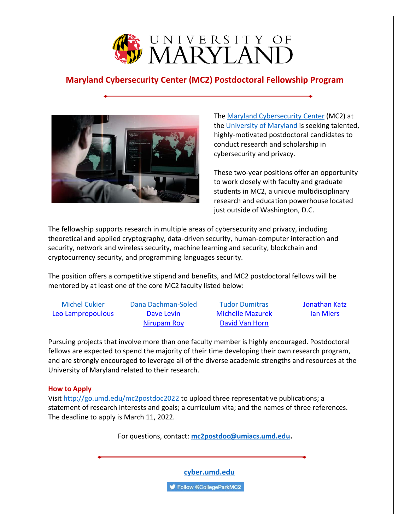

# **Maryland Cybersecurity Center (MC2) Postdoctoral Fellowship Program**



The [Maryland Cybersecurity Center](http://www.cyber.umd.edu/) (MC2) at the [University of Maryland](https://www.umd.edu/) is seeking talented, highly-motivated postdoctoral candidates to conduct research and scholarship in cybersecurity and privacy.

These two-year positions offer an opportunity to work closely with faculty and graduate students in MC2, a unique multidisciplinary research and education powerhouse located just outside of Washington, D.C.

The fellowship supports research in multiple areas of cybersecurity and privacy, including theoretical and applied cryptography, data-driven security, human-computer interaction and security, network and wireless security, machine learning and security, blockchain and cryptocurrency security, and programming languages security.

The position offers a competitive stipend and benefits, and MC2 postdoctoral fellows will be mentored by at least one of the core MC2 faculty listed below:

[Michel Cukier](https://enme.umd.edu/clark/faculty/523/Michel-Cukier) [Dana Dachman-Soled](https://user.eng.umd.edu/~danadach/) [Tudor Dumitras](https://users.umiacs.umd.edu/~tdumitra/) [Jonathan Katz](https://www.cs.umd.edu/~jkatz/) [Leo Lampropoulous](https://lemonidas.github.io/) [Dave Levin](https://www.cs.umd.edu/~dml/) [Michelle Mazurek](https://users.umiacs.umd.edu/~mmazurek/index.html) [Ian Miers](https://www.cs.umd.edu/~imiers/)

[Nirupam Roy](https://www.cs.umd.edu/~nirupam/) [David Van Horn](https://www.cs.umd.edu/~dvanhorn/)

Pursuing projects that involve more than one faculty member is highly encouraged. Postdoctoral fellows are expected to spend the majority of their time developing their own research program, and are strongly encouraged to leverage all of the diverse academic strengths and resources at the University of Maryland related to their research.

# **How to Apply**

Visit<http://go.umd.edu/mc2postdoc2022> to upload three representative publications; a statement of research interests and goals; a curriculum vita; and the names of three references. The deadline to apply is March 11, 2022.

For questions, contact: **[mc2postdoc@umiacs.umd.edu.](mailto:mc2postdoc@umiacs.umd.edu)**

**[cyber.umd.edu](https://cyber.umd.edu/)**

Follow @CollegeParkMC2